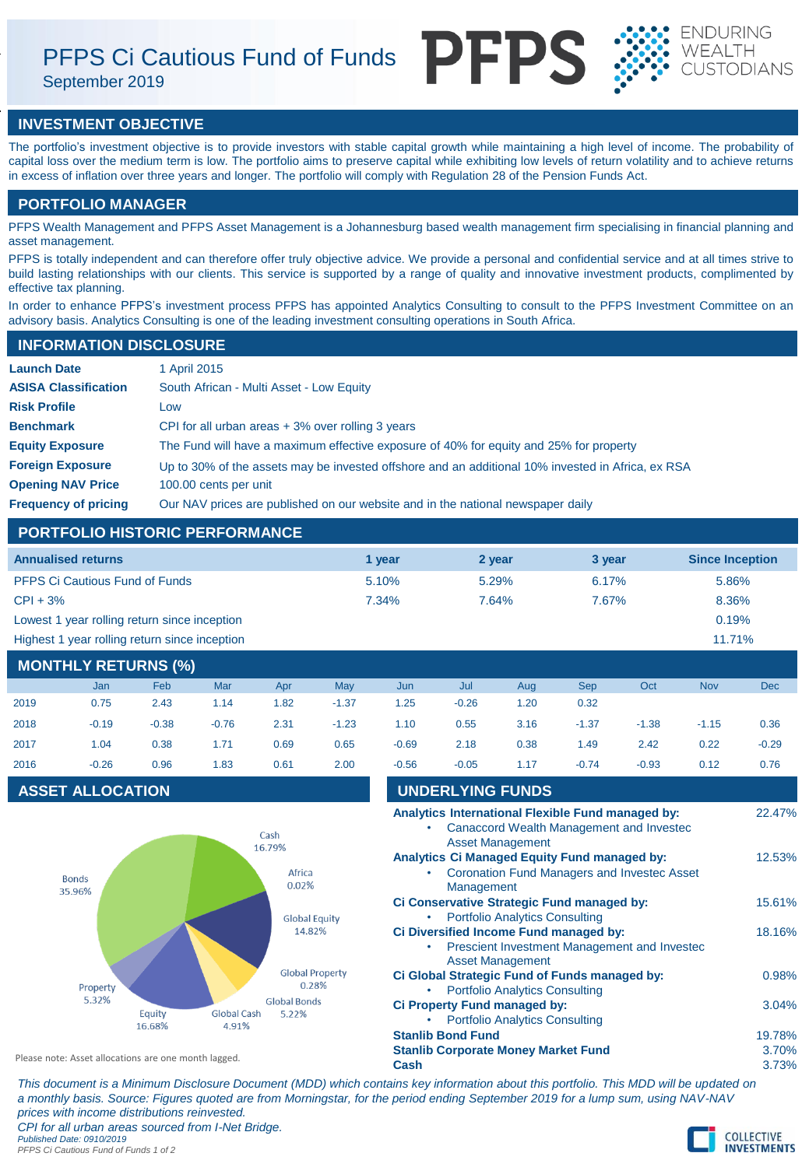# PFPS Ci Cautious Fund of Funds

September 2019





# **INVESTMENT OBJECTIVE**

The portfolio's investment objective is to provide investors with stable capital growth while maintaining a high level of income. The probability of capital loss over the medium term is low. The portfolio aims to preserve capital while exhibiting low levels of return volatility and to achieve returns in excess of inflation over three years and longer. The portfolio will comply with Regulation 28 of the Pension Funds Act.

# **PORTFOLIO MANAGER**

PFPS Wealth Management and PFPS Asset Management is a Johannesburg based wealth management firm specialising in financial planning and asset management.

PFPS is totally independent and can therefore offer truly objective advice. We provide a personal and confidential service and at all times strive to build lasting relationships with our clients. This service is supported by a range of quality and innovative investment products, complimented by effective tax planning.

In order to enhance PFPS's investment process PFPS has appointed Analytics Consulting to consult to the PFPS Investment Committee on an advisory basis. Analytics Consulting is one of the leading investment consulting operations in South Africa.

## **INFORMATION DISCLOSURE**

| <b>Launch Date</b>          | 1 April 2015                                                                                      |
|-----------------------------|---------------------------------------------------------------------------------------------------|
| <b>ASISA Classification</b> | South African - Multi Asset - Low Equity                                                          |
| <b>Risk Profile</b>         | Low                                                                                               |
| <b>Benchmark</b>            | CPI for all urban areas $+3\%$ over rolling 3 years                                               |
| <b>Equity Exposure</b>      | The Fund will have a maximum effective exposure of 40% for equity and 25% for property            |
| <b>Foreign Exposure</b>     | Up to 30% of the assets may be invested offshore and an additional 10% invested in Africa, ex RSA |
| <b>Opening NAV Price</b>    | 100.00 cents per unit                                                                             |
| <b>Frequency of pricing</b> | Our NAV prices are published on our website and in the national newspaper daily                   |

# **PORTFOLIO HISTORIC PERFORMANCE**

| <b>Annualised returns</b>                     | 1 vear   | 2 year | 3 year | <b>Since Inception</b> |
|-----------------------------------------------|----------|--------|--------|------------------------|
| <b>PFPS Ci Cautious Fund of Funds</b>         | 5.10%    | 5.29%  | 6.17%  | 5.86%                  |
| $CPI + 3%$                                    | $7.34\%$ | 7.64%  | 7.67%  | 8.36%                  |
| Lowest 1 year rolling return since inception  |          |        |        | 0.19%                  |
| Highest 1 year rolling return since inception |          |        |        | 11.71%                 |

# **MONTHLY RETURNS (%)**

|      | Jan     | Feb     | Mar     | Apr  | May     | Jun     | Jul     | Aug  | <b>Sep</b> | Oct     | <b>Nov</b> | <b>Dec</b> |
|------|---------|---------|---------|------|---------|---------|---------|------|------------|---------|------------|------------|
| 2019 | 0.75    | 2.43    | 1.14    | 1.82 | $-1.37$ | 1.25    | $-0.26$ | 1.20 | 0.32       |         |            |            |
| 2018 | $-0.19$ | $-0.38$ | $-0.76$ | 2.31 | $-1.23$ | 1.10    | 0.55    | 3.16 | $-1.37$    | $-1.38$ | $-1.15$    | 0.36       |
| 2017 | 1.04    | 0.38    | 1.71    | 0.69 | 0.65    | $-0.69$ | 2.18    | 0.38 | 1.49       | 2.42    | 0.22       | $-0.29$    |
| 2016 | $-0.26$ | 0.96    | 1.83    | 0.61 | 2.00    | $-0.56$ | $-0.05$ | 1.17 | $-0.74$    | $-0.93$ | 0.12       | 0.76       |

# **ASSET ALLOCATION**



| $-0.56$                                                                                                           | $-0.05$                 | 1.17                                                | $-0.74$ | $-0.93$                                                                                       | 0.12                     | 0.76   |
|-------------------------------------------------------------------------------------------------------------------|-------------------------|-----------------------------------------------------|---------|-----------------------------------------------------------------------------------------------|--------------------------|--------|
|                                                                                                                   | <b>UNDERLYING FUNDS</b> |                                                     |         |                                                                                               |                          |        |
|                                                                                                                   |                         | <b>Asset Management</b>                             |         | Analytics International Flexible Fund managed by:<br>Canaccord Wealth Management and Invested |                          | 22.47% |
|                                                                                                                   | Management              | <b>Analytics Ci Managed Equity Fund managed by:</b> |         | <b>Coronation Fund Managers and Investec Asset</b>                                            |                          | 12.53% |
| Ci Conservative Strategic Fund managed by:<br><b>Portfolio Analytics Consulting</b>                               |                         |                                                     |         |                                                                                               |                          |        |
| Ci Diversified Income Fund managed by:<br>Prescient Investment Management and Investec<br><b>Asset Management</b> |                         |                                                     |         |                                                                                               |                          |        |
| Ci Global Strategic Fund of Funds managed by:<br><b>Portfolio Analytics Consulting</b>                            |                         |                                                     |         |                                                                                               |                          | 0.98%  |
| Ci Property Fund managed by:<br><b>Portfolio Analytics Consulting</b>                                             |                         |                                                     |         |                                                                                               |                          | 3.04%  |
| <b>Stanlib Bond Fund</b><br><b>Stanlib Corporate Money Market Fund</b><br>Cash                                    |                         |                                                     |         |                                                                                               | 19.78%<br>3.70%<br>3.73% |        |
|                                                                                                                   |                         |                                                     |         |                                                                                               |                          |        |

*This document is a Minimum Disclosure Document (MDD) which contains key information about this portfolio. This MDD will be updated on a monthly basis. Source: Figures quoted are from Morningstar, for the period ending September 2019 for a lump sum, using NAV-NAV prices with income distributions reinvested. CPI for all urban areas sourced from I-Net Bridge. Published Date: 0910/2019*

*PFPS Ci Cautious Fund of Funds 1 of 2*

Please note: Asset allocations are one month lagged.